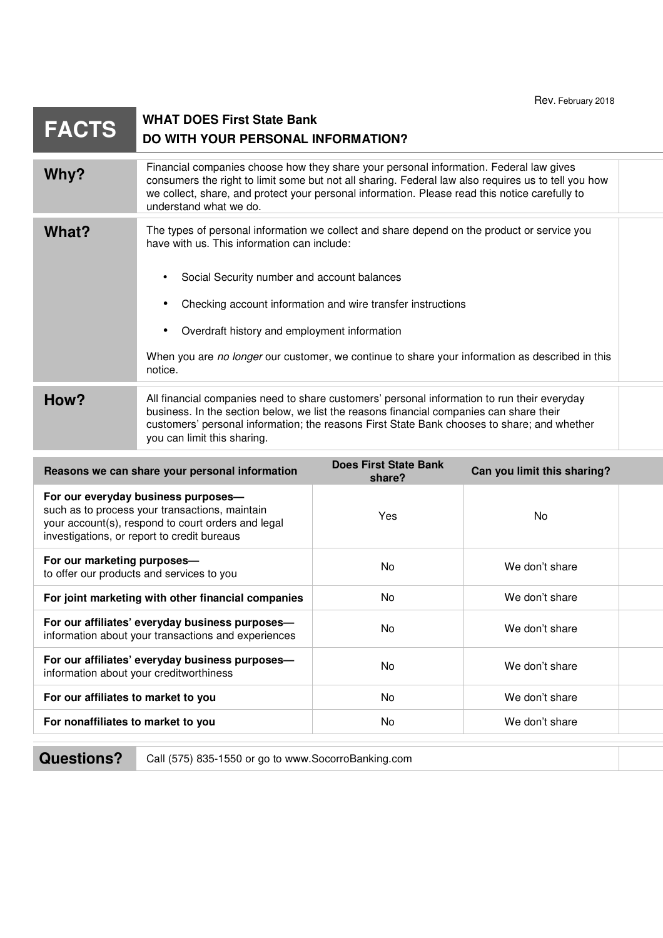|                                                                                                                                                                                            |                                                                                                                                                                                                                                                                                                                           |                                                             | 1 IV V. I CUIUCIY LU IU     |  |
|--------------------------------------------------------------------------------------------------------------------------------------------------------------------------------------------|---------------------------------------------------------------------------------------------------------------------------------------------------------------------------------------------------------------------------------------------------------------------------------------------------------------------------|-------------------------------------------------------------|-----------------------------|--|
| <b>FACTS</b>                                                                                                                                                                               | <b>WHAT DOES First State Bank</b><br>DO WITH YOUR PERSONAL INFORMATION?                                                                                                                                                                                                                                                   |                                                             |                             |  |
| Why?                                                                                                                                                                                       | Financial companies choose how they share your personal information. Federal law gives<br>consumers the right to limit some but not all sharing. Federal law also requires us to tell you how<br>we collect, share, and protect your personal information. Please read this notice carefully to<br>understand what we do. |                                                             |                             |  |
| What?                                                                                                                                                                                      | The types of personal information we collect and share depend on the product or service you<br>have with us. This information can include:                                                                                                                                                                                |                                                             |                             |  |
|                                                                                                                                                                                            | Social Security number and account balances<br>$\bullet$                                                                                                                                                                                                                                                                  |                                                             |                             |  |
|                                                                                                                                                                                            |                                                                                                                                                                                                                                                                                                                           | Checking account information and wire transfer instructions |                             |  |
|                                                                                                                                                                                            | Overdraft history and employment information                                                                                                                                                                                                                                                                              |                                                             |                             |  |
|                                                                                                                                                                                            | When you are no longer our customer, we continue to share your information as described in this<br>notice.                                                                                                                                                                                                                |                                                             |                             |  |
| How?                                                                                                                                                                                       | All financial companies need to share customers' personal information to run their everyday<br>business. In the section below, we list the reasons financial companies can share their<br>customers' personal information; the reasons First State Bank chooses to share; and whether<br>you can limit this sharing.      |                                                             |                             |  |
| Reasons we can share your personal information                                                                                                                                             |                                                                                                                                                                                                                                                                                                                           | <b>Does First State Bank</b><br>share?                      | Can you limit this sharing? |  |
| For our everyday business purposes-<br>such as to process your transactions, maintain<br>your account(s), respond to court orders and legal<br>investigations, or report to credit bureaus |                                                                                                                                                                                                                                                                                                                           | Yes                                                         | No                          |  |
| For our marketing purposes-<br>to offer our products and services to you                                                                                                                   |                                                                                                                                                                                                                                                                                                                           | No                                                          | We don't share              |  |
| For joint marketing with other financial companies                                                                                                                                         |                                                                                                                                                                                                                                                                                                                           | No                                                          | We don't share              |  |
| For our affiliates' everyday business purposes-<br>information about your transactions and experiences                                                                                     |                                                                                                                                                                                                                                                                                                                           | No                                                          | We don't share              |  |
| For our affiliates' everyday business purposes-<br>information about your creditworthiness                                                                                                 |                                                                                                                                                                                                                                                                                                                           | No                                                          | We don't share              |  |
| For our affiliates to market to you                                                                                                                                                        |                                                                                                                                                                                                                                                                                                                           | No                                                          | We don't share              |  |
| For nonaffiliates to market to you                                                                                                                                                         |                                                                                                                                                                                                                                                                                                                           | No                                                          | We don't share              |  |

**Questions?** Call (575) 835-1550 or go to www.SocorroBanking.com